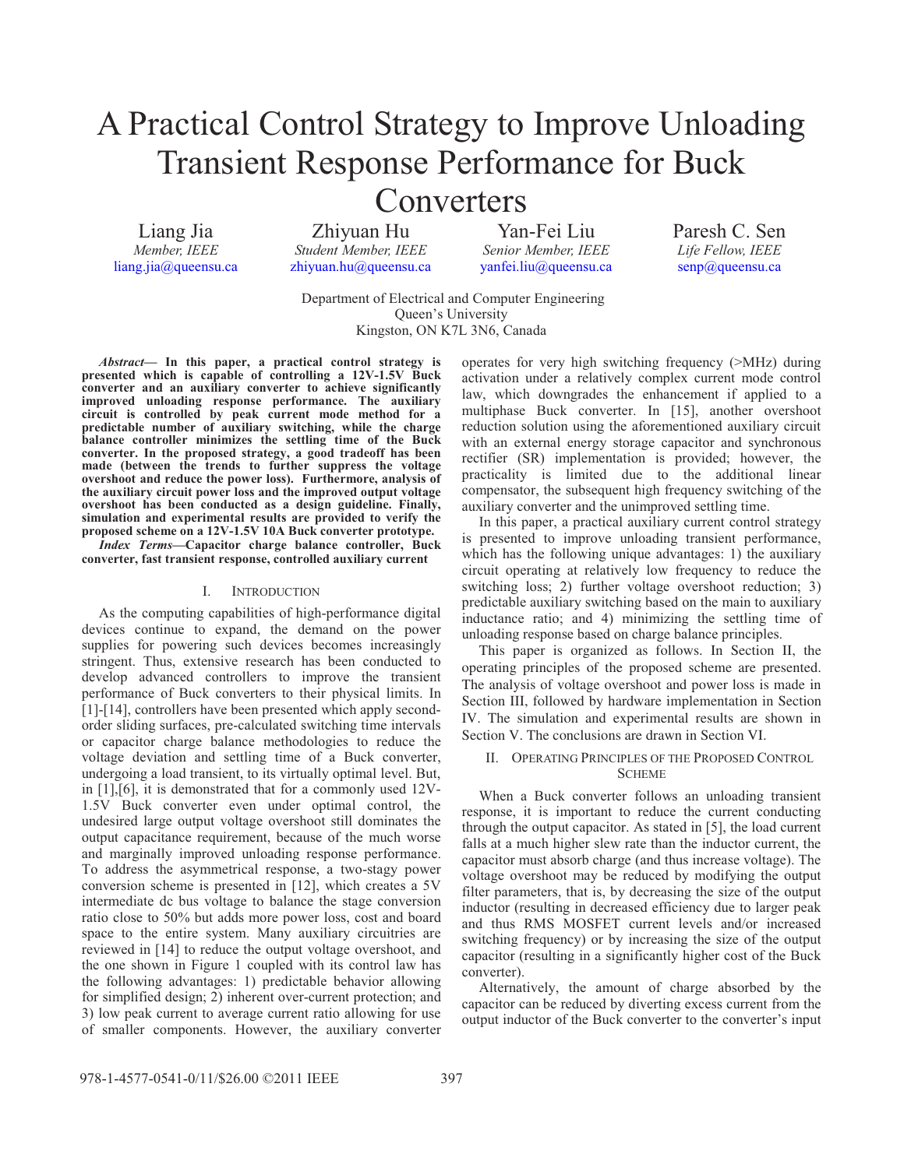# A Practical Control Strategy to Improve Unloading Transient Response Performance for Buck

# Converters

Liang Jia *Member, IEEE*  liang.jia@queensu.ca

Zhiyuan Hu *Student Member, IEEE* zhiyuan.hu@queensu.ca

Yan-Fei Liu *Senior Member, IEEE*  yanfei.liu@queensu.ca Paresh C. Sen *Life Fellow, IEEE*  senp@queensu.ca

 Department of Electrical and Computer Engineering Queen's University Kingston, ON K7L 3N6, Canada

*Abstract***— In this paper, a practical control strategy is presented which is capable of controlling a 12V-1.5V Buck converter and an auxiliary converter to achieve significantly improved unloading response performance. The auxiliary circuit is controlled by peak current mode method for a predictable number of auxiliary switching, while the charge balance controller minimizes the settling time of the Buck converter. In the proposed strategy, a good tradeoff has been made (between the trends to further suppress the voltage overshoot and reduce the power loss). Furthermore, analysis of the auxiliary circuit power loss and the improved output voltage overshoot has been conducted as a design guideline. Finally, simulation and experimental results are provided to verify the proposed scheme on a 12V-1.5V 10A Buck converter prototype.** 

*Index Terms***—Capacitor charge balance controller, Buck converter, fast transient response, controlled auxiliary current** 

# I. INTRODUCTION

As the computing capabilities of high-performance digital devices continue to expand, the demand on the power supplies for powering such devices becomes increasingly stringent. Thus, extensive research has been conducted to develop advanced controllers to improve the transient performance of Buck converters to their physical limits. In [1]-[14], controllers have been presented which apply secondorder sliding surfaces, pre-calculated switching time intervals or capacitor charge balance methodologies to reduce the voltage deviation and settling time of a Buck converter, undergoing a load transient, to its virtually optimal level. But, in [1],[6], it is demonstrated that for a commonly used 12V-1.5V Buck converter even under optimal control, the undesired large output voltage overshoot still dominates the output capacitance requirement, because of the much worse and marginally improved unloading response performance. To address the asymmetrical response, a two-stagy power conversion scheme is presented in [12], which creates a 5V intermediate dc bus voltage to balance the stage conversion ratio close to 50% but adds more power loss, cost and board space to the entire system. Many auxiliary circuitries are reviewed in [14] to reduce the output voltage overshoot, and the one shown in Figure 1 coupled with its control law has the following advantages: 1) predictable behavior allowing for simplified design; 2) inherent over-current protection; and 3) low peak current to average current ratio allowing for use of smaller components. However, the auxiliary converter operates for very high switching frequency (>MHz) during activation under a relatively complex current mode control law, which downgrades the enhancement if applied to a multiphase Buck converter. In [15], another overshoot reduction solution using the aforementioned auxiliary circuit with an external energy storage capacitor and synchronous rectifier (SR) implementation is provided; however, the practicality is limited due to the additional linear compensator, the subsequent high frequency switching of the auxiliary converter and the unimproved settling time.

In this paper, a practical auxiliary current control strategy is presented to improve unloading transient performance, which has the following unique advantages: 1) the auxiliary circuit operating at relatively low frequency to reduce the switching loss; 2) further voltage overshoot reduction; 3) predictable auxiliary switching based on the main to auxiliary inductance ratio; and 4) minimizing the settling time of unloading response based on charge balance principles.

This paper is organized as follows. In Section II, the operating principles of the proposed scheme are presented. The analysis of voltage overshoot and power loss is made in Section III, followed by hardware implementation in Section IV. The simulation and experimental results are shown in Section V. The conclusions are drawn in Section VI.

# II. OPERATING PRINCIPLES OF THE PROPOSED CONTROL **SCHEME**

When a Buck converter follows an unloading transient response, it is important to reduce the current conducting through the output capacitor. As stated in [5], the load current falls at a much higher slew rate than the inductor current, the capacitor must absorb charge (and thus increase voltage). The voltage overshoot may be reduced by modifying the output filter parameters, that is, by decreasing the size of the output inductor (resulting in decreased efficiency due to larger peak and thus RMS MOSFET current levels and/or increased switching frequency) or by increasing the size of the output capacitor (resulting in a significantly higher cost of the Buck converter).

Alternatively, the amount of charge absorbed by the capacitor can be reduced by diverting excess current from the output inductor of the Buck converter to the converter's input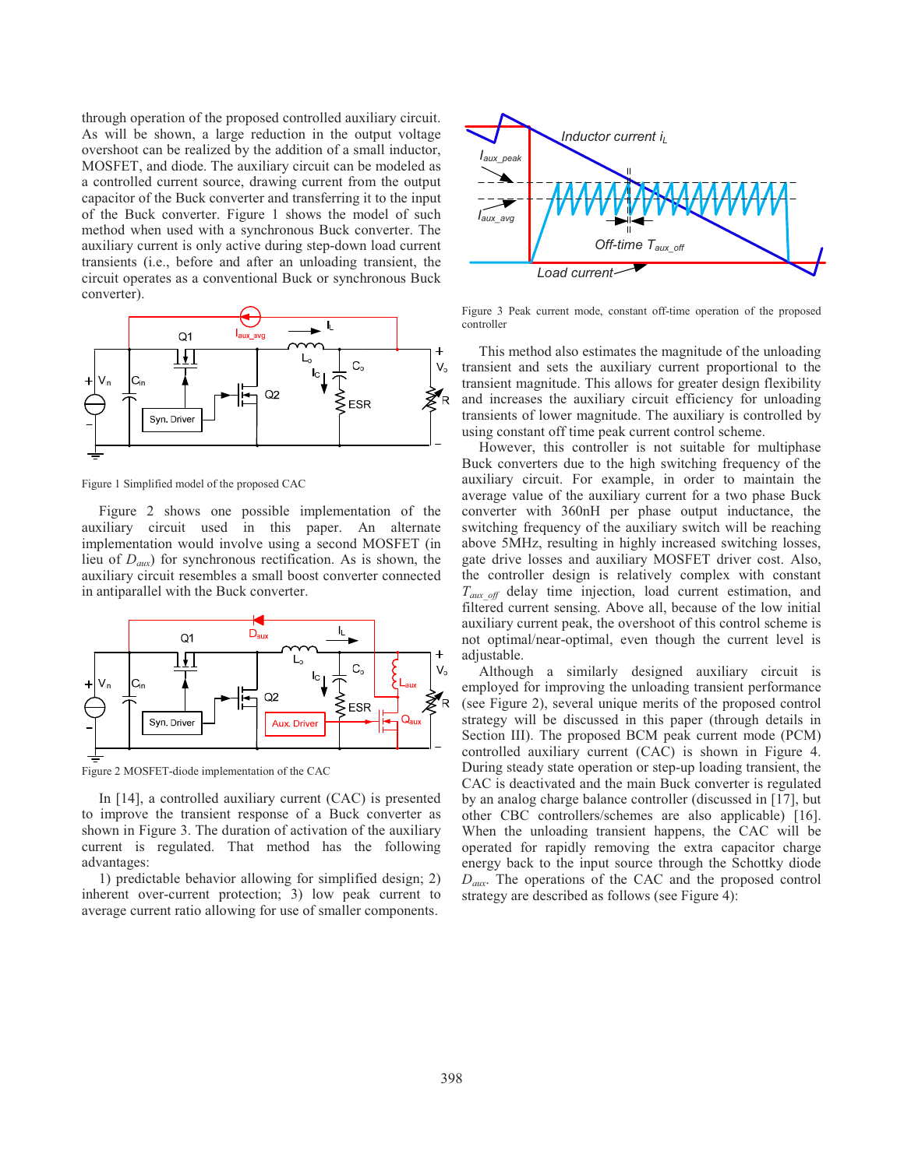through operation of the proposed controlled auxiliary circuit. As will be shown, a large reduction in the output voltage overshoot can be realized by the addition of a small inductor, MOSFET, and diode. The auxiliary circuit can be modeled as a controlled current source, drawing current from the output capacitor of the Buck converter and transferring it to the input of the Buck converter. Figure 1 shows the model of such method when used with a synchronous Buck converter. The auxiliary current is only active during step-down load current transients (i.e., before and after an unloading transient, the circuit operates as a conventional Buck or synchronous Buck converter).



Figure 1 Simplified model of the proposed CAC

Figure 2 shows one possible implementation of the auxiliary circuit used in this paper. An alternate implementation would involve using a second MOSFET (in lieu of *Daux*) for synchronous rectification. As is shown, the auxiliary circuit resembles a small boost converter connected in antiparallel with the Buck converter.



Figure 2 MOSFET-diode implementation of the CAC

In [14], a controlled auxiliary current (CAC) is presented to improve the transient response of a Buck converter as shown in Figure 3. The duration of activation of the auxiliary current is regulated. That method has the following advantages:

1) predictable behavior allowing for simplified design; 2) inherent over-current protection; 3) low peak current to average current ratio allowing for use of smaller components.



Figure 3 Peak current mode, constant off-time operation of the proposed controller

This method also estimates the magnitude of the unloading transient and sets the auxiliary current proportional to the transient magnitude. This allows for greater design flexibility and increases the auxiliary circuit efficiency for unloading transients of lower magnitude. The auxiliary is controlled by using constant off time peak current control scheme.

However, this controller is not suitable for multiphase Buck converters due to the high switching frequency of the auxiliary circuit. For example, in order to maintain the average value of the auxiliary current for a two phase Buck converter with 360nH per phase output inductance, the switching frequency of the auxiliary switch will be reaching above 5MHz, resulting in highly increased switching losses, gate drive losses and auxiliary MOSFET driver cost. Also, the controller design is relatively complex with constant *Taux\_off* delay time injection, load current estimation, and filtered current sensing. Above all, because of the low initial auxiliary current peak, the overshoot of this control scheme is not optimal/near-optimal, even though the current level is adjustable.

Although a similarly designed auxiliary circuit is employed for improving the unloading transient performance (see Figure 2), several unique merits of the proposed control strategy will be discussed in this paper (through details in Section III). The proposed BCM peak current mode (PCM) controlled auxiliary current (CAC) is shown in Figure 4. During steady state operation or step-up loading transient, the CAC is deactivated and the main Buck converter is regulated by an analog charge balance controller (discussed in [17], but other CBC controllers/schemes are also applicable) [16]. When the unloading transient happens, the CAC will be operated for rapidly removing the extra capacitor charge energy back to the input source through the Schottky diode *Daux*. The operations of the CAC and the proposed control strategy are described as follows (see Figure 4):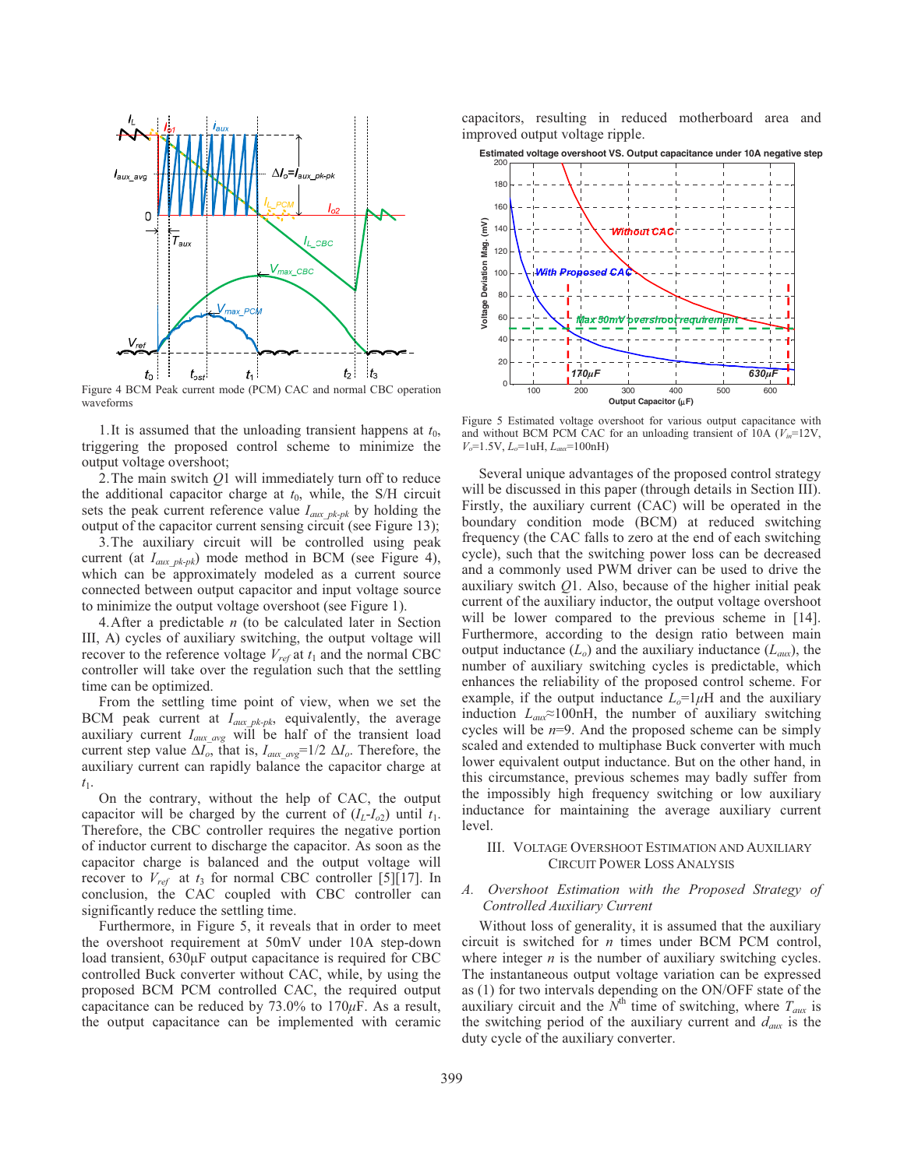

Figure 4 BCM Peak current mode (PCM) CAC and normal CBC operation waveforms

1. It is assumed that the unloading transient happens at  $t_0$ , triggering the proposed control scheme to minimize the output voltage overshoot;

2. The main switch *Q*1 will immediately turn off to reduce the additional capacitor charge at  $t_0$ , while, the S/H circuit sets the peak current reference value  $I_{aux\ p k-pk}$  by holding the output of the capacitor current sensing circuit (see Figure 13);

3. The auxiliary circuit will be controlled using peak current (at *Iaux\_pk-pk*) mode method in BCM (see Figure 4), which can be approximately modeled as a current source connected between output capacitor and input voltage source to minimize the output voltage overshoot (see Figure 1).

4. After a predictable *n* (to be calculated later in Section III, A) cycles of auxiliary switching, the output voltage will recover to the reference voltage  $V_{ref}$  at  $t_1$  and the normal CBC controller will take over the regulation such that the settling time can be optimized.

From the settling time point of view, when we set the BCM peak current at *Iaux\_pk-pk*, equivalently, the average auxiliary current *Iaux\_avg* will be half of the transient load current step value  $\Delta I_o$ , that is,  $I_{aux\_avg}$ =1/2  $\Delta I_o$ . Therefore, the auxiliary current can rapidly balance the capacitor charge at *t*1.

On the contrary, without the help of CAC, the output capacitor will be charged by the current of  $(I_L - I_{o2})$  until  $t_1$ . Therefore, the CBC controller requires the negative portion of inductor current to discharge the capacitor. As soon as the capacitor charge is balanced and the output voltage will recover to  $V_{ref}$  at  $t_3$  for normal CBC controller [5][17]. In conclusion, the CAC coupled with CBC controller can significantly reduce the settling time.

Furthermore, in Figure 5, it reveals that in order to meet the overshoot requirement at 50mV under 10A step-down load transient,  $630\mu$ F output capacitance is required for CBC controlled Buck converter without CAC, while, by using the proposed BCM PCM controlled CAC, the required output capacitance can be reduced by  $73.0\%$  to  $170\mu$ F. As a result, the output capacitance can be implemented with ceramic

capacitors, resulting in reduced motherboard area and improved output voltage ripple.



Figure 5 Estimated voltage overshoot for various output capacitance with and without BCM PCM CAC for an unloading transient of  $10A$  ( $V<sub>in</sub>=12V$ , *Vo*=1.5V, *Lo*=1uH, *Laux*=100nH)

Several unique advantages of the proposed control strategy will be discussed in this paper (through details in Section III). Firstly, the auxiliary current (CAC) will be operated in the boundary condition mode (BCM) at reduced switching frequency (the CAC falls to zero at the end of each switching cycle), such that the switching power loss can be decreased and a commonly used PWM driver can be used to drive the auxiliary switch *Q*1. Also, because of the higher initial peak current of the auxiliary inductor, the output voltage overshoot will be lower compared to the previous scheme in [14]. Furthermore, according to the design ratio between main output inductance  $(L_0)$  and the auxiliary inductance  $(L_{aux})$ , the number of auxiliary switching cycles is predictable, which enhances the reliability of the proposed control scheme. For example, if the output inductance  $L_0 = 1 \mu H$  and the auxiliary induction  $L_{aux} \approx 100$ nH, the number of auxiliary switching cycles will be *n*=9. And the proposed scheme can be simply scaled and extended to multiphase Buck converter with much lower equivalent output inductance. But on the other hand, in this circumstance, previous schemes may badly suffer from the impossibly high frequency switching or low auxiliary inductance for maintaining the average auxiliary current level.

# III. VOLTAGE OVERSHOOT ESTIMATION AND AUXILIARY CIRCUIT POWER LOSS ANALYSIS

# *A. Overshoot Estimation with the Proposed Strategy of Controlled Auxiliary Current*

Without loss of generality, it is assumed that the auxiliary circuit is switched for *n* times under BCM PCM control, where integer *n* is the number of auxiliary switching cycles. The instantaneous output voltage variation can be expressed as (1) for two intervals depending on the ON/OFF state of the auxiliary circuit and the  $\hat{N}^{\text{th}}$  time of switching, where  $T_{\text{aux}}$  is the switching period of the auxiliary current and *daux* is the duty cycle of the auxiliary converter.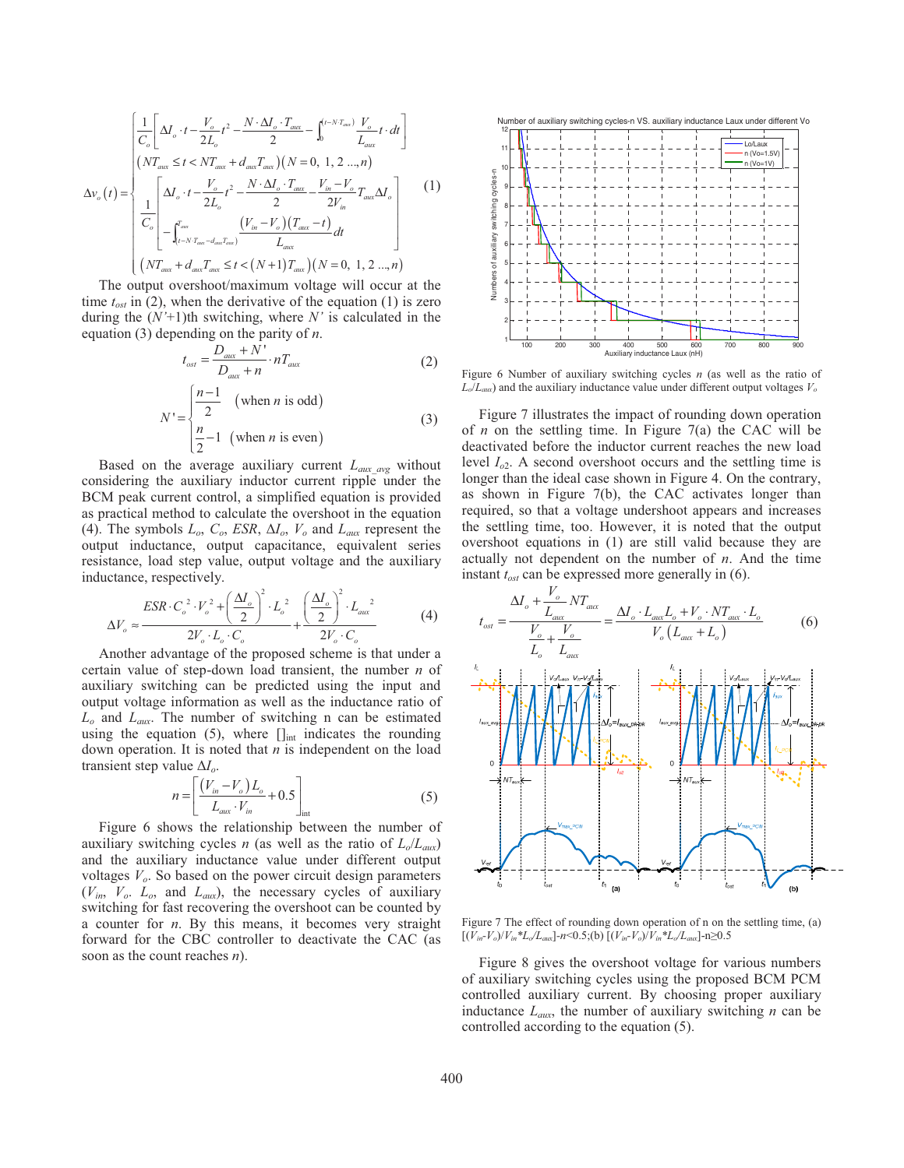$$
\Delta v_{o}(t) = \begin{cases}\n\frac{1}{C_{o}} \left[ \Delta I_{o} \cdot t - \frac{V_{o}}{2L_{o}} t^{2} - \frac{N \cdot \Delta I_{o} \cdot T_{\text{max}}}{2} - \int_{0}^{(t-N \cdot T_{\text{max}})} \frac{V_{o}}{L_{\text{max}}} t \cdot dt \right] \\
(NT_{\text{max}} \leq t < NT_{\text{max}} + d_{\text{max}} T_{\text{max}})(N = 0, 1, 2 \dots, n) \\
\frac{1}{C_{o}} \left[ \Delta I_{o} \cdot t - \frac{V_{o}}{2L_{o}} t^{2} - \frac{N \cdot \Delta I_{o} \cdot T_{\text{max}}}{2} - \frac{V_{in} - V_{o}}{2V_{in}} T_{\text{max}} \Delta I_{o} \right] \\
-\int_{(t-N \cdot T_{\text{max}} - d_{\text{max}} T_{\text{max}})}^{T_{\text{max}}}(V_{in} - V_{o})(T_{\text{max}} - t) \right] dt \\
(NT_{\text{max}} + d_{\text{max}} T_{\text{max}} \leq t < (N+1) T_{\text{max}})(N = 0, 1, 2 \dots, n)\n\end{cases} \tag{1}
$$

The output overshoot/maximum voltage will occur at the time  $t_{\text{est}}$  in (2), when the derivative of the equation (1) is zero during the (*N'*+1)th switching, where *N'* is calculated in the equation (3) depending on the parity of *n*.

$$
t_{ost} = \frac{D_{aux} + N'}{D_{aux} + n} \cdot n_{aux}
$$
 (2)

$$
N' = \begin{cases} \frac{n-1}{2} & \text{(when } n \text{ is odd)}\\ \frac{n}{2} - 1 & \text{(when } n \text{ is even)} \end{cases}
$$
(3)

Based on the average auxiliary current *Laux\_avg* without considering the auxiliary inductor current ripple under the BCM peak current control, a simplified equation is provided as practical method to calculate the overshoot in the equation (4). The symbols  $L_o$ ,  $C_o$ ,  $ESR$ ,  $\Delta I_o$ ,  $V_o$  and  $L_{aux}$  represent the output inductance, output capacitance, equivalent series resistance, load step value, output voltage and the auxiliary inductance, respectively.

$$
\Delta V_o \approx \frac{ESR \cdot C_o^2 \cdot V_o^2 + \left(\frac{\Delta I_o}{2}\right)^2 \cdot L_o^2}{2V_o \cdot L_o \cdot C_o} + \frac{\left(\frac{\Delta I_o}{2}\right)^2 \cdot L_{aux}^2}{2V_o \cdot C_o} \tag{4}
$$

Another advantage of the proposed scheme is that under a certain value of step-down load transient, the number *n* of auxiliary switching can be predicted using the input and output voltage information as well as the inductance ratio of *Lo* and *Laux*. The number of switching n can be estimated using the equation (5), where  $[]_{int}$  indicates the rounding down operation. It is noted that *n* is independent on the load transient step value  $\Delta I_o$ .

$$
n = \left[ \frac{(V_{in} - V_o)L_o}{L_{aux} \cdot V_{in}} + 0.5 \right]_{int}
$$
 (5)

Figure 6 shows the relationship between the number of auxiliary switching cycles *n* (as well as the ratio of  $L_0/L_{aux}$ ) and the auxiliary inductance value under different output voltages  $V<sub>o</sub>$ . So based on the power circuit design parameters (*Vin*, *Vo*. *Lo*, and *Laux*), the necessary cycles of auxiliary switching for fast recovering the overshoot can be counted by a counter for *n*. By this means, it becomes very straight forward for the CBC controller to deactivate the CAC (as soon as the count reaches *n*).



Figure 6 Number of auxiliary switching cycles *n* (as well as the ratio of  $L_o/L_{aux}$ ) and the auxiliary inductance value under different output voltages  $V_o$ 

Figure 7 illustrates the impact of rounding down operation of *n* on the settling time. In Figure 7(a) the CAC will be deactivated before the inductor current reaches the new load level  $I_{o2}$ . A second overshoot occurs and the settling time is longer than the ideal case shown in Figure 4. On the contrary, as shown in Figure 7(b), the CAC activates longer than required, so that a voltage undershoot appears and increases the settling time, too. However, it is noted that the output overshoot equations in (1) are still valid because they are actually not dependent on the number of *n*. And the time instant *tost* can be expressed more generally in (6).



Figure 7 The effect of rounding down operation of n on the settling time, (a)  $[(V_{in} - V_o)/V_{in} * L_o/L_{aux}]$ -n<0.5;(b)  $[(V_{in} - V_o)/V_{in} * L_o/L_{aux}]$ -n≥0.5

Figure 8 gives the overshoot voltage for various numbers of auxiliary switching cycles using the proposed BCM PCM controlled auxiliary current. By choosing proper auxiliary inductance *Laux*, the number of auxiliary switching *n* can be controlled according to the equation (5).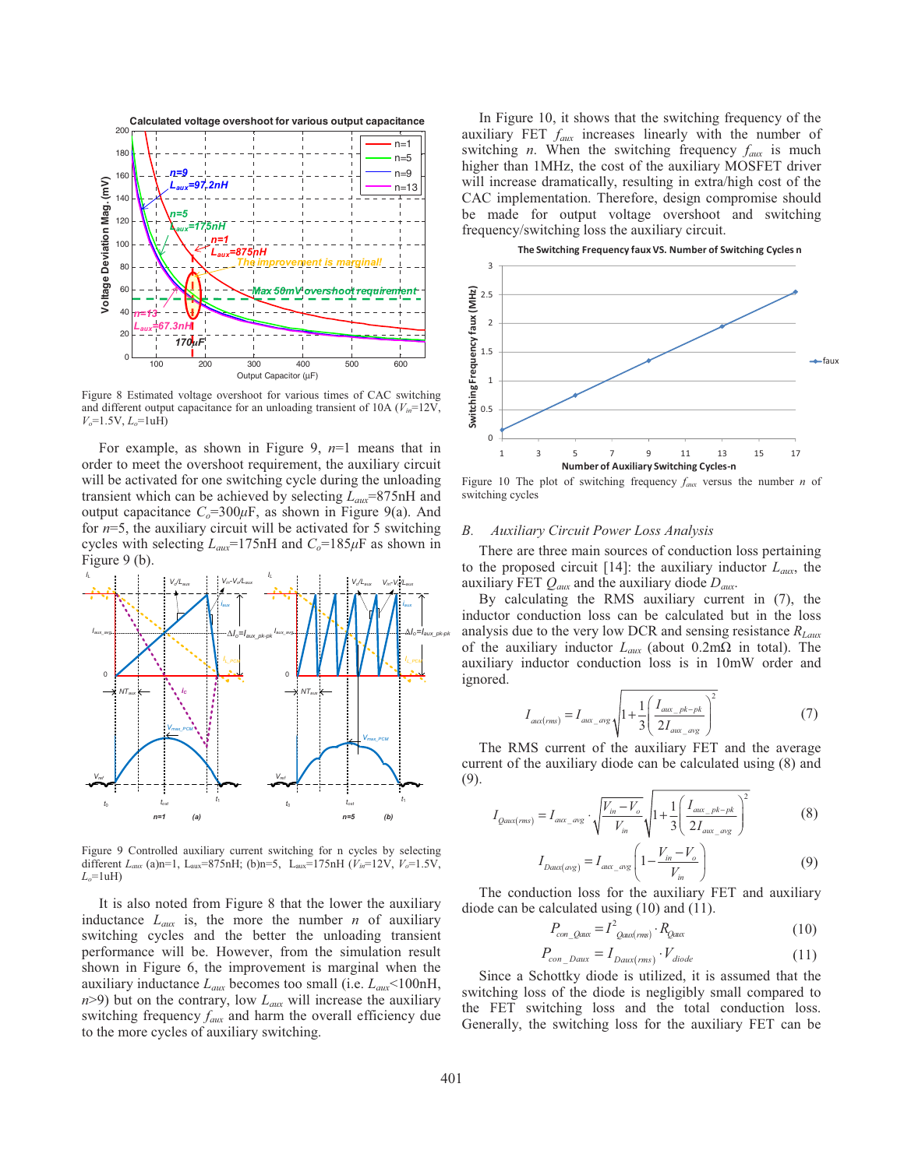

Figure 8 Estimated voltage overshoot for various times of CAC switching and different output capacitance for an unloading transient of 10A  $(V_{in}=12V)$ , *Vo*=1.5V, *Lo*=1uH)

For example, as shown in Figure 9, *n*=1 means that in order to meet the overshoot requirement, the auxiliary circuit will be activated for one switching cycle during the unloading transient which can be achieved by selecting *Laux*=875nH and output capacitance  $C_0 = 300 \mu$ F, as shown in Figure 9(a). And for *n*=5, the auxiliary circuit will be activated for 5 switching cycles with selecting  $L_{aux}$ =175nH and  $C_o$ =185 $\mu$ F as shown in Figure 9 (b).



Figure 9 Controlled auxiliary current switching for n cycles by selecting different *Laux* (a)n=1, Laux=875nH; (b)n=5, Laux=175nH (*Vin*=12V, *Vo*=1.5V, *Lo*=1uH)

It is also noted from Figure 8 that the lower the auxiliary inductance  $L_{aux}$  is, the more the number *n* of auxiliary switching cycles and the better the unloading transient performance will be. However, from the simulation result shown in Figure 6, the improvement is marginal when the auxiliary inductance *Laux* becomes too small (i.e. *Laux*<100nH,  $n$ >9) but on the contrary, low  $L_{aux}$  will increase the auxiliary switching frequency *faux* and harm the overall efficiency due to the more cycles of auxiliary switching.

In Figure 10, it shows that the switching frequency of the auxiliary FET *faux* increases linearly with the number of switching *n*. When the switching frequency  $f_{\text{aux}}$  is much higher than 1MHz, the cost of the auxiliary MOSFET driver will increase dramatically, resulting in extra/high cost of the CAC implementation. Therefore, design compromise should be made for output voltage overshoot and switching frequency/switching loss the auxiliary circuit.



Figure 10 The plot of switching frequency  $f_{\text{aux}}$  versus the number *n* of switching cycles

#### *B. Auxiliary Circuit Power Loss Analysis*

There are three main sources of conduction loss pertaining to the proposed circuit [14]: the auxiliary inductor  $L_{aux}$ , the auxiliary FET *Qaux* and the auxiliary diode *Daux*.

By calculating the RMS auxiliary current in (7), the inductor conduction loss can be calculated but in the loss analysis due to the very low DCR and sensing resistance *RLaux* of the auxiliary inductor  $L_{aux}$  (about 0.2m $\Omega$  in total). The auxiliary inductor conduction loss is in 10mW order and ignored.

$$
I_{\text{aux}(rms)} = I_{\text{aux}\_\text{avg}} \sqrt{1 + \frac{1}{3} \left( \frac{I_{\text{aux}\_\text{pk-pk}}}{2 I_{\text{aux}\_\text{avg}}} \right)^2}
$$
 (7)

The RMS current of the auxiliary FET and the average current of the auxiliary diode can be calculated using (8) and (9).

$$
I_{Qaux(ms)} = I_{aux\_avg} \cdot \sqrt{\frac{V_{in} - V_o}{V_{in}}} \sqrt{1 + \frac{1}{3} \left( \frac{I_{aux\_pk-pk}}{2I_{aux\_avg}} \right)^2}
$$
(8)

$$
I_{Daux(\alpha \vee g)} = I_{aux\_avg} \left( 1 - \frac{V_{in} - V_o}{V_{in}} \right)
$$
 (9)

The conduction loss for the auxiliary FET and auxiliary diode can be calculated using (10) and (11).

$$
P_{con\_Qaux} = I^2_{Qaux(ms)} \cdot R_{Qaux}
$$
\n(10)

$$
P_{con\_Daux} = I_{Daux(rms)} \cdot V_{diode} \tag{11}
$$

Since a Schottky diode is utilized, it is assumed that the switching loss of the diode is negligibly small compared to the FET switching loss and the total conduction loss. Generally, the switching loss for the auxiliary FET can be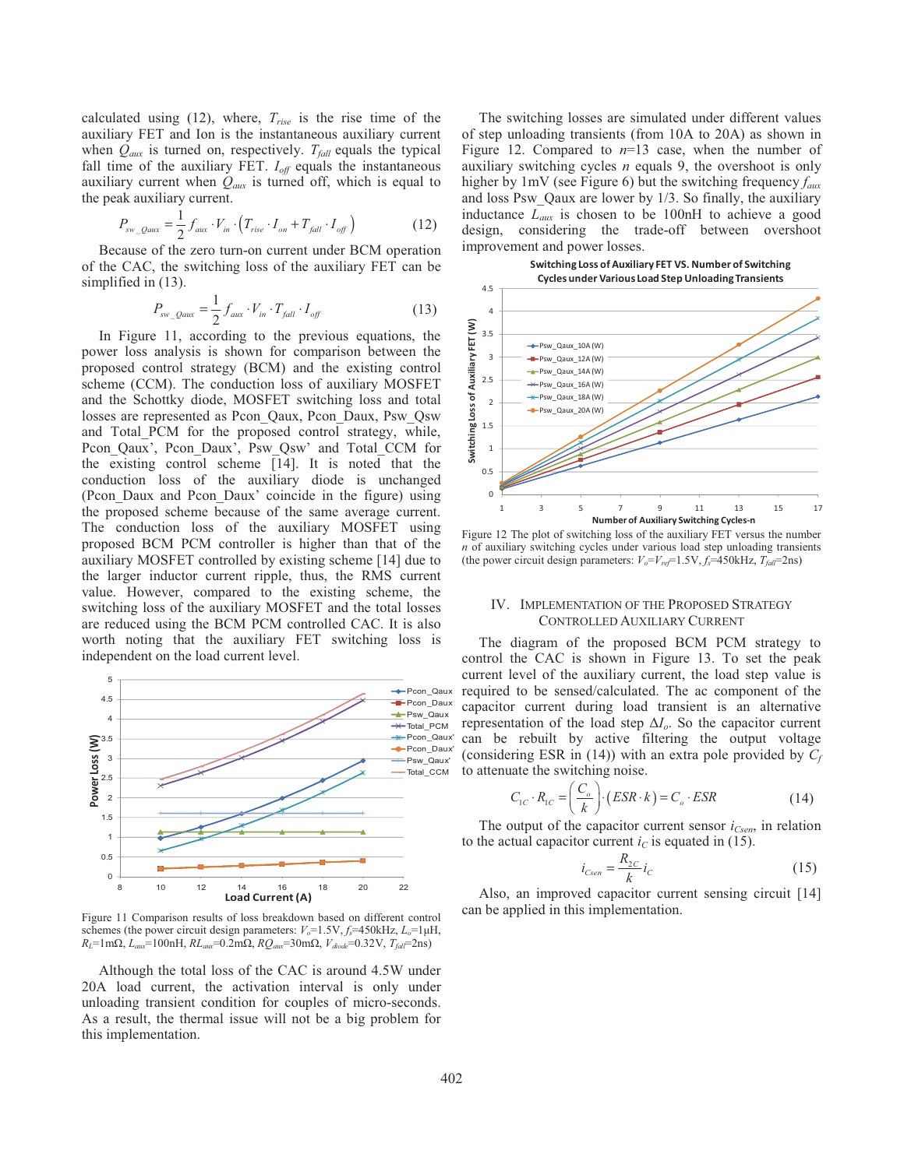calculated using (12), where, *Trise* is the rise time of the auxiliary FET and Ion is the instantaneous auxiliary current when  $Q_{aux}$  is turned on, respectively.  $T_{fall}$  equals the typical fall time of the auxiliary FET.  $I_{off}$  equals the instantaneous auxiliary current when  $Q_{aux}$  is turned off, which is equal to the peak auxiliary current.

$$
P_{sw\_Qaux} = \frac{1}{2} f_{aux} \cdot V_{in} \cdot \left( T_{rise} \cdot I_{on} + T_{fall} \cdot I_{off} \right) \tag{12}
$$

Because of the zero turn-on current under BCM operation of the CAC, the switching loss of the auxiliary FET can be simplified in (13).

$$
P_{\text{sw}\_\text{Qaux}} = \frac{1}{2} f_{\text{aux}} \cdot V_{\text{in}} \cdot T_{\text{fall}} \cdot I_{\text{off}} \tag{13}
$$

In Figure 11, according to the previous equations, the power loss analysis is shown for comparison between the proposed control strategy (BCM) and the existing control scheme (CCM). The conduction loss of auxiliary MOSFET and the Schottky diode, MOSFET switching loss and total losses are represented as Pcon\_Qaux, Pcon\_Daux, Psw\_Qsw and Total\_PCM for the proposed control strategy, while, Pcon Qaux', Pcon Daux', Psw Qsw' and Total CCM for the existing control scheme [14]. It is noted that the conduction loss of the auxiliary diode is unchanged (Pcon\_Daux and Pcon\_Daux' coincide in the figure) using the proposed scheme because of the same average current. The conduction loss of the auxiliary MOSFET using proposed BCM PCM controller is higher than that of the auxiliary MOSFET controlled by existing scheme [14] due to the larger inductor current ripple, thus, the RMS current value. However, compared to the existing scheme, the switching loss of the auxiliary MOSFET and the total losses are reduced using the BCM PCM controlled CAC. It is also worth noting that the auxiliary FET switching loss is independent on the load current level.



Figure 11 Comparison results of loss breakdown based on different control schemes (the power circuit design parameters:  $V_o=1.5V$ ,  $f_s=450kHz$ ,  $L_o=1\mu H$ ,  $R_L$ =1m $\Omega$ ,  $L_{aux}$ =100nH,  $RL_{aux}$ =0.2m $\Omega$ ,  $RQ_{aux}$ =30m $\Omega$ ,  $V_{diode}$ =0.32V,  $T_{fall}$ =2ns)

Although the total loss of the CAC is around 4.5W under 20A load current, the activation interval is only under unloading transient condition for couples of micro-seconds. As a result, the thermal issue will not be a big problem for this implementation.

The switching losses are simulated under different values of step unloading transients (from 10A to 20A) as shown in Figure 12. Compared to *n*=13 case, when the number of auxiliary switching cycles *n* equals 9, the overshoot is only higher by 1mV (see Figure 6) but the switching frequency *faux* and loss Psw\_Qaux are lower by 1/3. So finally, the auxiliary inductance *Laux* is chosen to be 100nH to achieve a good design, considering the trade-off between overshoot improvement and power losses.





Figure 12 The plot of switching loss of the auxiliary FET versus the number *n* of auxiliary switching cycles under various load step unloading transients (the power circuit design parameters:  $V_o = V_{ref} = 1.5 \text{V}, f_s = 450 \text{kHz}, T_{fall} = 2 \text{ns}$ )

## IV. IMPLEMENTATION OF THE PROPOSED STRATEGY CONTROLLED AUXILIARY CURRENT

The diagram of the proposed BCM PCM strategy to control the CAC is shown in Figure 13. To set the peak current level of the auxiliary current, the load step value is required to be sensed/calculated. The ac component of the capacitor current during load transient is an alternative representation of the load step  $\Delta I_o$ . So the capacitor current can be rebuilt by active filtering the output voltage (considering ESR in  $(14)$ ) with an extra pole provided by  $C_f$ to attenuate the switching noise.

$$
C_{1C} \cdot R_{1C} = \left(\frac{C_o}{k}\right) \cdot \left(ESR \cdot k\right) = C_o \cdot ESR \tag{14}
$$

The output of the capacitor current sensor  $i_{Csen}$ , in relation to the actual capacitor current  $i<sub>C</sub>$  is equated in (15).

$$
i_{Csen} = \frac{R_{2C}}{k} i_C
$$
 (15)

Also, an improved capacitor current sensing circuit [14] can be applied in this implementation.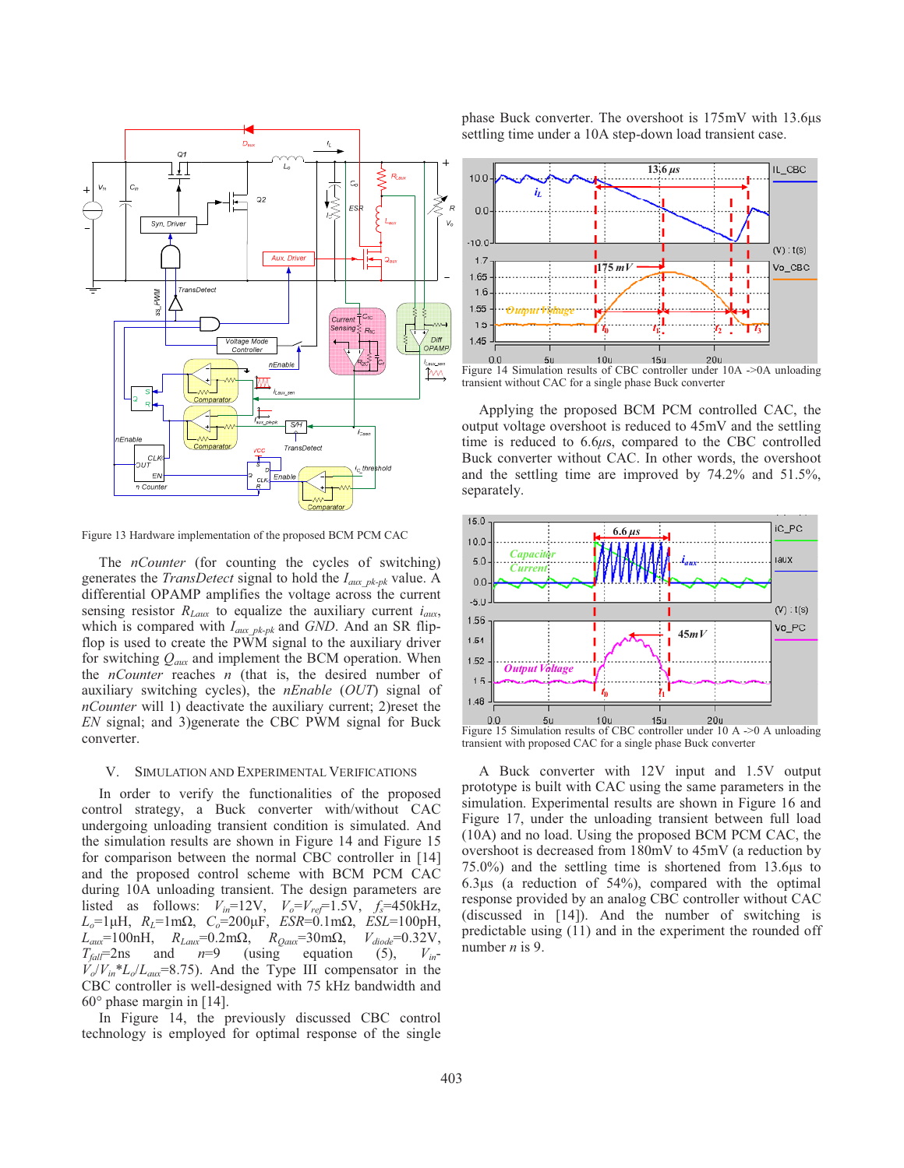

Figure 13 Hardware implementation of the proposed BCM PCM CAC

The *nCounter* (for counting the cycles of switching) generates the *TransDetect* signal to hold the *Iaux\_pk-pk* value. A differential OPAMP amplifies the voltage across the current sensing resistor  $R_{Laux}$  to equalize the auxiliary current  $i_{aux}$ , which is compared with *Iaux\_pk-pk* and *GND*. And an SR flipflop is used to create the PWM signal to the auxiliary driver for switching *Qaux* and implement the BCM operation. When the *nCounter* reaches *n* (that is, the desired number of auxiliary switching cycles), the *nEnable* (*OUT*) signal of *nCounter* will 1) deactivate the auxiliary current; 2)reset the *EN* signal; and 3)generate the CBC PWM signal for Buck converter.

# V. SIMULATION AND EXPERIMENTAL VERIFICATIONS

In order to verify the functionalities of the proposed control strategy, a Buck converter with/without CAC undergoing unloading transient condition is simulated. And the simulation results are shown in Figure 14 and Figure 15 for comparison between the normal CBC controller in [14] and the proposed control scheme with BCM PCM CAC during 10A unloading transient. The design parameters are listed as follows:  $V_{in}$ =12V,  $V_o$ = $V_{ref}$ =1.5V,  $f_s$ =450kHz,  $L_o=1 \mu H$ ,  $R_L=1 \text{ m}\Omega$ ,  $C_o=200 \mu F$ ,  $ESR=0.1 \text{ m}\Omega$ ,  $ESL=100 \text{ pH}$ ,  $L_{aux}$ =100nH,  $R_{Laux}$ =0.2m $\Omega$ ,  $R_{Qaux}$ =30m $\Omega$ ,  $V_{diode}$ =0.32V,  $T_{fall}$ =2ns and  $n=9$  (using equation (5),  $V_{in}$ - $V_o/V_{in} * L_o/L_{aux} = 8.75$ ). And the Type III compensator in the CBC controller is well-designed with 75 kHz bandwidth and 60° phase margin in [14].

In Figure 14, the previously discussed CBC control technology is employed for optimal response of the single phase Buck converter. The overshoot is  $175 \text{mV}$  with  $13.6 \mu s$ settling time under a 10A step-down load transient case.



transient without CAC for a single phase Buck converter

Applying the proposed BCM PCM controlled CAC, the output voltage overshoot is reduced to 45mV and the settling time is reduced to 6.6 $\mu$ s, compared to the CBC controlled Buck converter without CAC. In other words, the overshoot and the settling time are improved by 74.2% and 51.5%, separately.



Figure 15 Simulation results of CBC controller under 10 A ->0 A unloading transient with proposed CAC for a single phase Buck converter

A Buck converter with 12V input and 1.5V output prototype is built with CAC using the same parameters in the simulation. Experimental results are shown in Figure 16 and Figure 17, under the unloading transient between full load (10A) and no load. Using the proposed BCM PCM CAC, the overshoot is decreased from 180mV to 45mV (a reduction by  $75.0\%$ ) and the settling time is shortened from 13.6 $\mu$ s to 6.3 $\mu$ s (a reduction of 54%), compared with the optimal response provided by an analog CBC controller without CAC (discussed in [14]). And the number of switching is predictable using (11) and in the experiment the rounded off number *n* is 9.